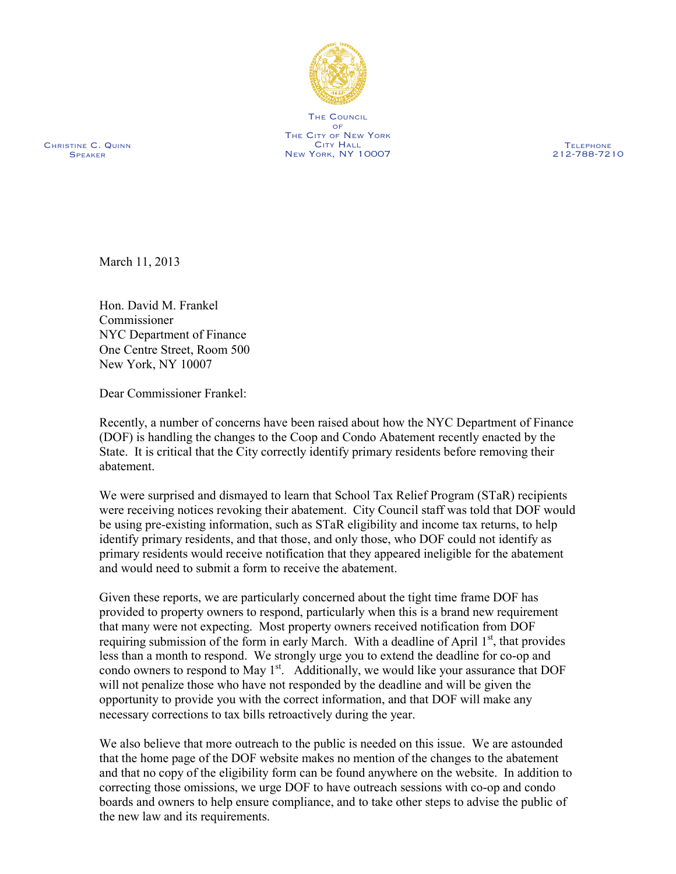

THE COUNCIL  $OF$ THE CITY OF NEW YORK City Hall new york, ny 10007

Christine C. Quinn **SPEAKER** 

**TELEPHONE** 212-788-7210

March 11, 2013

Hon. David M. Frankel Commissioner NYC Department of Finance One Centre Street, Room 500 New York, NY 10007

Dear Commissioner Frankel:

Recently, a number of concerns have been raised about how the NYC Department of Finance (DOF) is handling the changes to the Coop and Condo Abatement recently enacted by the State. It is critical that the City correctly identify primary residents before removing their abatement.

We were surprised and dismayed to learn that School Tax Relief Program (STaR) recipients were receiving notices revoking their abatement. City Council staff was told that DOF would be using pre-existing information, such as STaR eligibility and income tax returns, to help identify primary residents, and that those, and only those, who DOF could not identify as primary residents would receive notification that they appeared ineligible for the abatement and would need to submit a form to receive the abatement.

Given these reports, we are particularly concerned about the tight time frame DOF has provided to property owners to respond, particularly when this is a brand new requirement that many were not expecting. Most property owners received notification from DOF requiring submission of the form in early March. With a deadline of April  $1<sup>st</sup>$ , that provides less than a month to respond. We strongly urge you to extend the deadline for co-op and condo owners to respond to May 1<sup>st</sup>. Additionally, we would like your assurance that DOF will not penalize those who have not responded by the deadline and will be given the opportunity to provide you with the correct information, and that DOF will make any necessary corrections to tax bills retroactively during the year.

We also believe that more outreach to the public is needed on this issue. We are astounded that the home page of the DOF website makes no mention of the changes to the abatement and that no copy of the eligibility form can be found anywhere on the website. In addition to correcting those omissions, we urge DOF to have outreach sessions with co-op and condo boards and owners to help ensure compliance, and to take other steps to advise the public of the new law and its requirements.